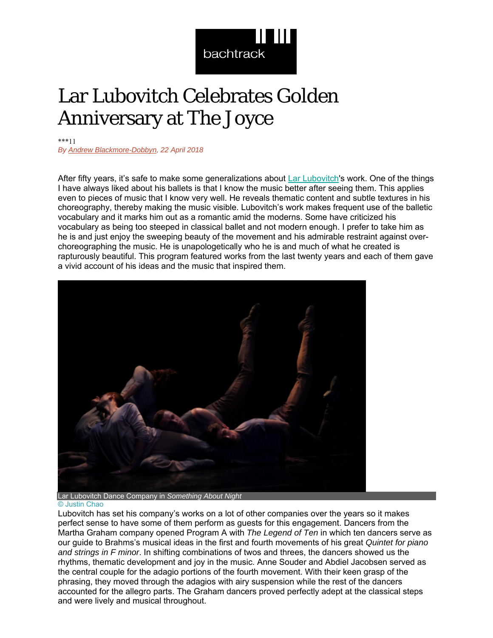

## Lar Lubovitch Celebrates Golden Anniversary at The Joyce

\*\*\*11

*By Andrew Blackmore-Dobbyn, 22 April 2018* 

After fifty years, it's safe to make some generalizations about Lar Lubovitch's work. One of the things I have always liked about his ballets is that I know the music better after seeing them. This applies even to pieces of music that I know very well. He reveals thematic content and subtle textures in his choreography, thereby making the music visible. Lubovitch's work makes frequent use of the balletic vocabulary and it marks him out as a romantic amid the moderns. Some have criticized his vocabulary as being too steeped in classical ballet and not modern enough. I prefer to take him as he is and just enjoy the sweeping beauty of the movement and his admirable restraint against overchoreographing the music. He is unapologetically who he is and much of what he created is rapturously beautiful. This program featured works from the last twenty years and each of them gave a vivid account of his ideas and the music that inspired them.



© Justin Chao

Lubovitch has set his company's works on a lot of other companies over the years so it makes perfect sense to have some of them perform as guests for this engagement. Dancers from the Martha Graham company opened Program A with *The Legend of Ten* in which ten dancers serve as our guide to Brahms's musical ideas in the first and fourth movements of his great *Quintet for piano and strings in F minor*. In shifting combinations of twos and threes, the dancers showed us the rhythms, thematic development and joy in the music. Anne Souder and Abdiel Jacobsen served as the central couple for the adagio portions of the fourth movement. With their keen grasp of the phrasing, they moved through the adagios with airy suspension while the rest of the dancers accounted for the allegro parts. The Graham dancers proved perfectly adept at the classical steps and were lively and musical throughout.